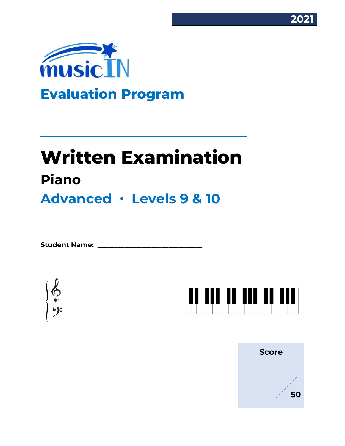



# **Written Examination Piano Advanced ∙ Levels 9 & 10**

Student Name:



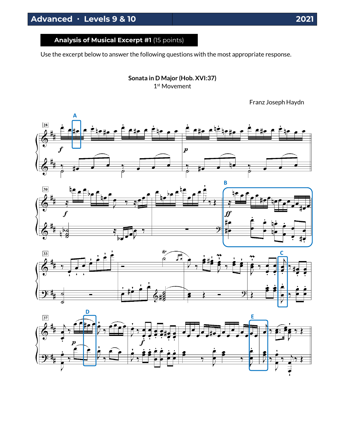**Analysis of Musical Excerpt #1** (15 points)

Use the excerpt below to answer the following questions with the most appropriate response.

**Sonata in D Major (Hob. XVI:37)** 1 st Movement

Franz Joseph Haydn







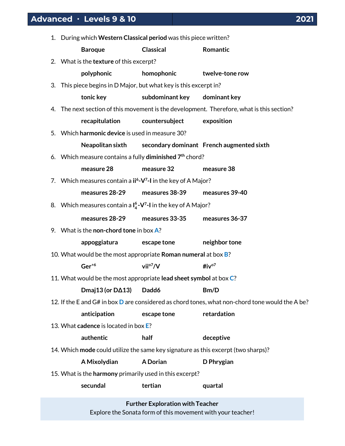|    | Advanced · Levels 9 & 10                                                                  |                  |                 | 202 |
|----|-------------------------------------------------------------------------------------------|------------------|-----------------|-----|
| 1. | During which Western Classical period was this piece written?                             |                  |                 |     |
|    | <b>Baroque</b>                                                                            | <b>Classical</b> | Romantic        |     |
|    | 2. What is the <b>texture</b> of this excerpt?                                            |                  |                 |     |
|    | polyphonic                                                                                | homophonic       | twelve-tone row |     |
|    | 3. This piece begins in D Major, but what key is this excerpt in?                         |                  |                 |     |
|    | tonic key                                                                                 | subdominant key  | dominant key    |     |
|    | 4. The next section of this movement is the development. Therefore, what is this section? |                  |                 |     |
|    | recapitulation                                                                            | countersubject   | exposition      |     |

5. Which **harmonic device** is used in measure 30?

**Neapolitan sixth secondary dominant French augmented sixth**

6. Which measure contains a fully **diminished 7th** chord?

**measure 28 measure 32 measure 38**

7. Which measures contain a **ii<sup>6</sup> -V 7 -I** in the key of A Major?

**measures 28-29 measures 38-39 measures 39-40**

8. Which measures contain a **I 6 4 -V 7 -I** in the key of A Major?

| measures 28-29 | measures 33-35 | measures 36-37 |
|----------------|----------------|----------------|
|                |                |                |

9. What is the **non-chord tone** in box **A**?

**appoggiatura escape tone neighbor tone** 

10. What would be the most appropriate **Roman numeral** at box **B**?

# **Ger+6 viio7/V #ivo7**

11. What would be the most appropriate **lead sheet symbol** at box **C**?

**Dmaj13 (or D∆13) Dadd6 Bm/D**

- 12. If the E and G# in box **D** are considered as chord tones, what non-chord tone would the A be?
	- **anticipation escape tone retardation**
- 13. What **cadence** is located in box **E**?

**authentic half deceptive**

14. Which **mode** could utilize the same key signature as this excerpt (two sharps)?

**A Mixolydian A Dorian D Phrygian**

15. What is the **harmony** primarily used in this excerpt?

**secundal tertian quartal**

**Further Exploration with Teacher** Explore the Sonata form of this movement with your teacher!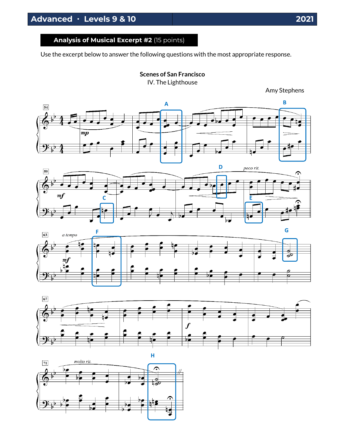# **Analysis of Musical Excerpt #2** (15 points)

Use the excerpt below to answer the following questions with the most appropriate response.

**Scenes of San Francisco**

IV. The Lighthouse











Amy Stephens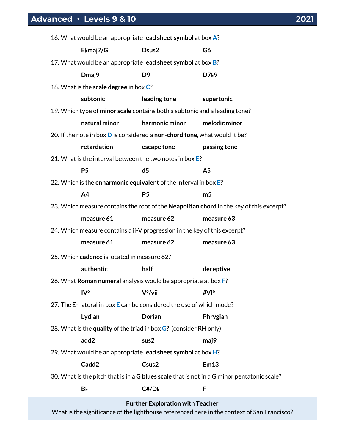| 16. What would be an appropriate lead sheet symbol at box A?                                |                                                                                           |                |                                                                                         |
|---------------------------------------------------------------------------------------------|-------------------------------------------------------------------------------------------|----------------|-----------------------------------------------------------------------------------------|
|                                                                                             | Ebmaj7/G                                                                                  | Dsus2          | G6                                                                                      |
| 17. What would be an appropriate lead sheet symbol at box B?                                |                                                                                           |                |                                                                                         |
|                                                                                             | Dmaj9                                                                                     | D <sub>9</sub> | D7 <sub>b</sub> 9                                                                       |
|                                                                                             | 18. What is the scale degree in box C?                                                    |                |                                                                                         |
|                                                                                             | subtonic                                                                                  | leading tone   | supertonic                                                                              |
|                                                                                             | 19. Which type of minor scale contains both a subtonic and a leading tone?                |                |                                                                                         |
|                                                                                             | natural minor                                                                             | harmonic minor | melodic minor                                                                           |
|                                                                                             | 20. If the note in box <b>D</b> is considered a <b>non-chord tone</b> , what would it be? |                |                                                                                         |
|                                                                                             | retardation                                                                               | escape tone    | passing tone                                                                            |
|                                                                                             | 21. What is the interval between the two notes in box E?                                  |                |                                                                                         |
|                                                                                             | <b>P5</b>                                                                                 | d <sub>5</sub> | A <sub>5</sub>                                                                          |
|                                                                                             | 22. Which is the enharmonic equivalent of the interval in box E?                          |                |                                                                                         |
|                                                                                             | A <sub>4</sub>                                                                            | P <sub>5</sub> | m <sub>5</sub>                                                                          |
|                                                                                             |                                                                                           |                | 23. Which measure contains the root of the Neapolitan chord in the key of this excerpt? |
|                                                                                             | measure 61                                                                                | measure 62     | measure 63                                                                              |
| 24. Which measure contains a ii-V progression in the key of this excerpt?                   |                                                                                           |                |                                                                                         |
|                                                                                             | measure 61                                                                                | measure 62     | measure 63                                                                              |
| 25. Which cadence is located in measure 62?                                                 |                                                                                           |                |                                                                                         |
|                                                                                             | authentic                                                                                 | half           | deceptive                                                                               |
| 26. What Roman numeral analysis would be appropriate at box F?                              |                                                                                           |                |                                                                                         |
|                                                                                             | IV <sup>6</sup>                                                                           | $V^6$ /vii     | $\sharp$ VI <sup>6</sup>                                                                |
| 27. The E-natural in box E can be considered the use of which mode?                         |                                                                                           |                |                                                                                         |
|                                                                                             | Lydian                                                                                    | <b>Dorian</b>  | Phrygian                                                                                |
| 28. What is the quality of the triad in box G? (consider RH only)                           |                                                                                           |                |                                                                                         |
|                                                                                             | add2                                                                                      | sus2           | maj9                                                                                    |
| 29. What would be an appropriate lead sheet symbol at box H?                                |                                                                                           |                |                                                                                         |
|                                                                                             | Cadd <sub>2</sub>                                                                         | Csus2          | Em13                                                                                    |
| 30. What is the pitch that is in a G blues scale that is not in a G minor pentatonic scale? |                                                                                           |                |                                                                                         |
|                                                                                             | Вb                                                                                        | C#/Db          | F                                                                                       |
| <b>Further Exploration with Teacher</b>                                                     |                                                                                           |                |                                                                                         |

What is the significance of the lighthouse referenced here in the context of San Francisco?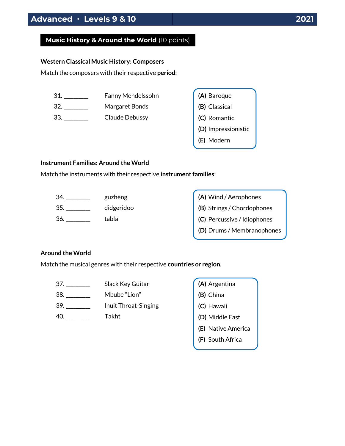# **Music History & Around the World** (10 points)

#### **Western Classical Music History: Composers**

Match the composers with their respective **period**:

- 31. \_\_\_\_\_\_\_\_\_\_ Fanny Mendelssohn
- 32. \_\_\_\_\_\_\_\_\_\_ Margaret Bonds

33. \_\_\_\_\_\_\_\_\_\_ Claude Debussy

| (A) Baroque         |
|---------------------|
| (B) Classical       |
| (C) Romantic        |
| (D) Impressionistic |
| (E) Modern          |

#### **Instrument Families: Around the World**

Match the instruments with their respective **instrument families**:

| 34. | guzheng    |
|-----|------------|
| 35. | didgeridoo |
| 36. | tabla      |

| (A) Wind / Aerophones       |
|-----------------------------|
| (B) Strings / Chordophones  |
| (C) Percussive / Idiophones |
| (D) Drums / Membranophones  |

### **Around the World**

Match the musical genres with their respective **countries or region**.

- 37. \_\_\_\_\_\_\_\_\_\_ Slack Key Guitar
- 38. \_\_\_\_\_\_\_\_\_\_ Mbube "Lion"
- 39. \_\_\_\_\_\_\_\_\_\_ Inuit Throat-Singing
- 40. \_\_\_\_\_\_\_\_\_\_ Takht

|  | (A) Argentina      |
|--|--------------------|
|  | (B) China          |
|  | (C) Hawaii         |
|  | (D) Middle East    |
|  | (E) Native America |
|  | (F) South Africa   |
|  |                    |